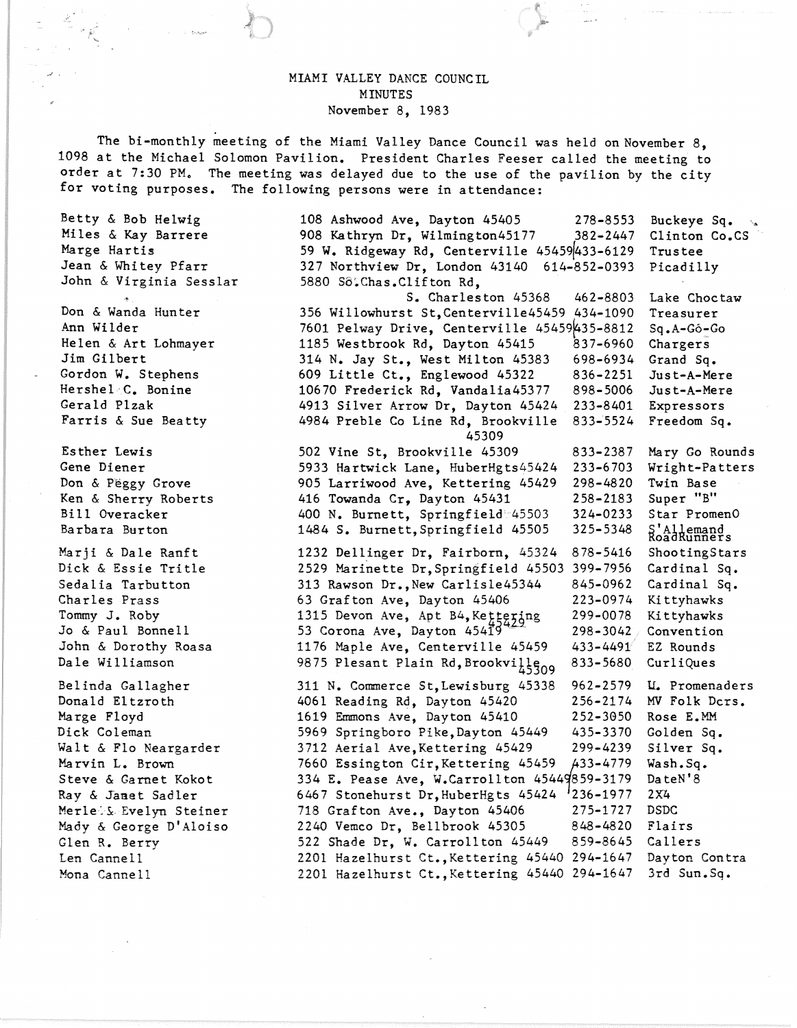## MIAMI VALLEY DANCE COUNCIL MINUTES November 8, 1983

The bi-monthly meeting of the Miami Valley Dance Council was held on November 8, 1098 at the Michael Solomon Pavilion. President Charles Feeser called the meeting to order at 7:30 PM. The meeting was delayed due to the use of the pavilion by the city for voting purposes. The following persons were in attendance:

Betty & Bob Helwig Miles & Kay Barrere Marge Hartis Jean & Whitey Pfarr John & Virginia Sesslar <', Don & Wanda Hunter Ann Wilder Helen & Art Lohmayer

Jim Gilbert Gordon W. Stephens Hershel<sub>-C.</sub> Bonine Gerald Plzak Farris & Sue Beatty

Esther Lewis Gene Diener Don & Peggy Grove Ken & Sherry Roberts Bill Overacker Barbara Burton

Marji & Dale Ranft Dick & Essie Tritle Sedalia Tarbutton Charles Prass Tommy J. Roby Jo & Paul Bonnell John & Dorothy Roasa Dale Williamson

Belinda Gallagher Donald Eltzroth Marge Floyd Diek Coleman Walt & Flo Neargarder Marvin L. Brown Steve & Garnet Kokot Ray & Janet Sadler Merle's Evelyn Steiner Mady & George D'Aloiso Glen R. Berry Len Cannell Mona Cannell

108 Ashwood Ave, Dayton 45405 278-8553 908 Kathryn Dr, Wilmington45177 382-2447 59 W. Ridgeway Rd, Centerville 45459 433-6129 327 Northview Dr, London 43140 614-852-0393 5880 So.Chas.Clifton Rd. S. Charleston 45368 462-8803 356 Willowhurst St,Centerville45459 434-1090 7601 Pelway Drive, Centerville  $45459435 - 8812$ 1185 Westbrook Rd, Dayton 45415 837-6960 314 N. Jay St., West Milton 45383 698-6934 609 Little Ct., Englewood 45322 836-2251 10670 Frederick Rd, Vandalia45377 898-5006 4913 Silver Arrow Dr, Dayton 45424 233-8401 4984 Preble Co Line Rd, Brookville 833-'5524 45309 502 Vine St, Brookville 45309 5933 Hartwick Lane, HuberHgts45424 905 Larriwood Ave, Kettering 45429 416 Towanda Cr, Dayton 45431 400 N. Burnett, Springfield'45503 1484 S. Burnett,Springfield 45505 833-2387 233-6703 298-4820 258-2183 324-0233 325-5348 Buckeye Sq. Clinton Co.CS Trustee Pieadilly Lake Choctaw Treasurer Sq.A-Go~Go Chargers Grand Sq. Just-A-Mere Just-A-Mere Expressors Freedom Sq. Mary Go Rounds Wright-Patters Twin Base Super "B" Star PromenO S' Allemand<br>RoadRunners 1232 Dellinger Dr, Fairborn, 45324 878-5416 ShootingStars 2529 Marinette Dr,Springfield 45503 399-7956 Cardinal Sq. 313 Rawson Dr.,New Carlisle45344 845-0962 Cardinal Sq. 63 Grafton Ave, Dayton 45406 223-0974 Kittyhawks 1315 Devon Ave, Apt B4, Ke $t_{24}$ tering 299-0078 Kittyhawks 53 Corona Ave, Dayton  $454\overline{19}^{422}$  298-3042 Convention 1176 Maple Ave, Centerville 45459 433-4491/ EZ Rounds 9875 Plesant Plain Rd, Brookvilleng 833-5680 CurliQues 311 N. Commerce St,Lewisburg 45338 962-2579 4061 Reading Rd, Dayton 45420 256-2174 1619 Emmons Ave, Dayton 45410 252-3650 5969 Springboro Pike, Day ton 45449 435-3370 3712 Aerial Ave,Kettering 45429 299-4239 7660 Essington Cir, Kettering 45459 433-4779 334 E. Pease Ave, W.Carrollton 45449859-3179<br>6467 Stonehurst Dr.HuberHgts 45424 236-1977 6467 Stonehurst Dr, HuberHgts 45424 718 Grafton Ave., Dayton 45406 275-1727 2240 Vemco Dr, Bellbrook 45305 848-4820 522 Shade Dr, W. Carrollton 45449 859-8645 2201 Hazelhurst Ct.,Kettering 45440 294-1647 2201 Hazelhurst Ct., Kettering 45440 294-1647 U. Promenaders MV Folk Ders. Rose E.MM Golden Sq. Silver Sq. Wash.Sq. DateN'8 2X4 DSDC Flairs Callers Dayton Contra 3rd Sun.Sq.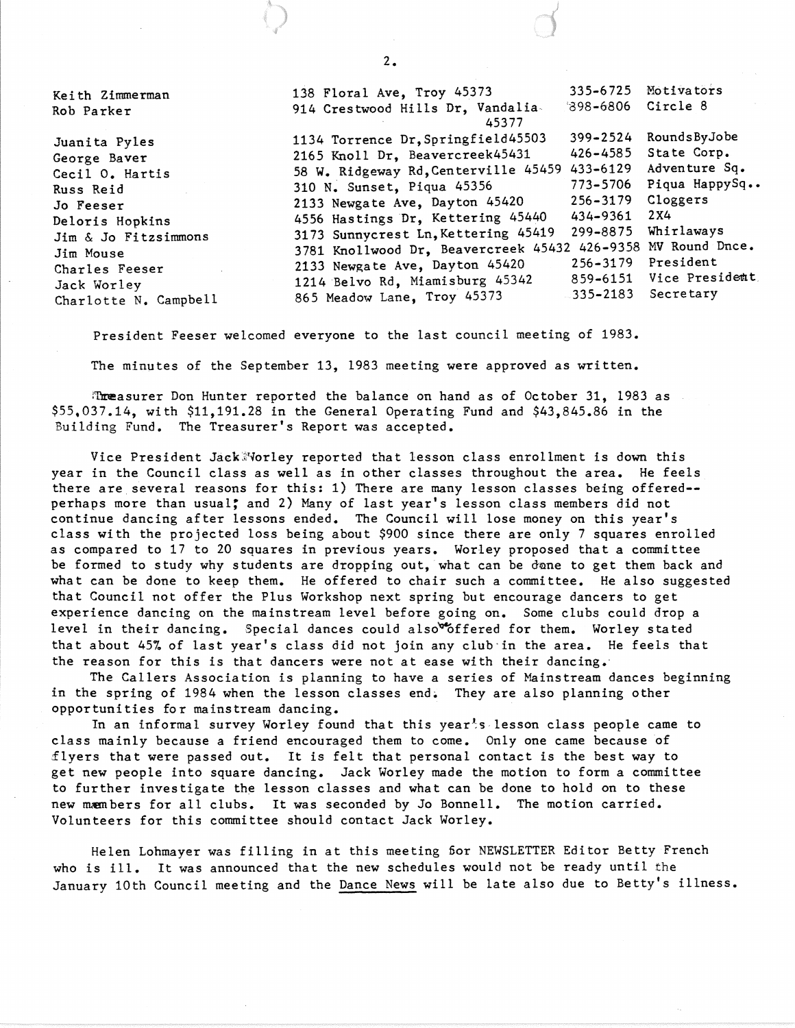Kei th Zimmerman Rob Parker Juani ta Pyles George Baver Cecil O. Hartis Russ Reid Jo Feeser Deloris Hopkins Jim & Jo Fitzsimmons Jim Mouse Charles Feeser Jack Worley Charlotte N. Campbell 138 Floral Ave, Troy 45373 914 Crestwood Hills Dr, Vandalia-45377 335-6725 Motivators '898-6806 1134 Torrence Dr,Springfield45503 399-2524 2165 Knoll Dr, Beavercreek45431 426-4585 58 W. Ridgeway Rd,Centerville 45459 433-6129 310 N. Sunset, Piqua 45356 773-5706<br>2133 Newgate Ave. Dayton 45420 256-3179 2133 Newgate Ave, Dayton 45420 256-3179<br>4556 Hastings Dr. Kettering 45440 434-9361 4556 Hastings Dr, Kettering 45440 434-9361 3173 Sunnycrest Ln, Kettering 45419 3781 Knollwood Dr, Beavercreek 45432 426-9358 MV Round Dnce. 2133 Newgate Ave, Dayton 45420 256-3179<br>1214 Belvo Rd. Miamisburg 45342 859-6151 1214 Belvo Rd, Miamisburg 45342 859-6151 865 Meadow Lane, Troy 45373 Circle 8 RoundsByJobe State Corp. Adventure Sq. Piqua HappySq.. Cloggers 2X4 Whirlaways President Vice President. Secretary

President Feeser welcomed everyone to the last council meeting of 1983.

The minutes of the September 13, 1983 meeting were approved as written.

Threasurer Don Hunter reported the balance on hand as of October 31, 1983 as \$55,037.14, with \$11,191.28 in the General Operating Fund and \$43,845.86 in the Building Fund. The Treasurer's Report was accepted.

Vice President Jack Norley reported that lesson class enrollment is down this year in the Council class as well as in other classes throughout the area. He feels there are several reasons for this: 1) There are many lesson classes being offered-perhaps more than usual; and 2) Many of last year's lesson class members did not continue dancing after lessons ended. The Council will lose money on this year's class with the projected loss being about \$900 since there are only 7 squares enrolled as compared to 17 to 20 squares in previous years. Worley proposed that a committee be formed to study why students are dropping out, what can be done to get them back and what can be done to keep them. He offered to chair such a committee. He also suggested that Council not offer the Plus Workshop next spring but encourage dancers to get experience dancing on the mainstream level before going on. Some clubs could drop a level in their dancing. Special dances could also<sup>be</sup>offered for them. Worley stated that about 45% of last year's class did not join any club'in the area. He feels that the reason for this is that dancers were not at ease with their dancing.'

The Callers Association is planning to have a series of Mainstream dances beginning in the spring of 1984 when the lesson classes end. They are also planning other opportunities for mainstream dancing.

In an informal survey Worley found that this year's lesson class people came to class mainly because a friend encouraged them to come. Only one came because of flyers that were passed out. It is felt that personal contact is the best way to get new people into square dancing. Jack Worley made the motion to form a committee to further investigate the lesson classes and what can be done to hold on to these new members for all clubs. It was seconded by Jo Bonnell. The motion carried. Volunteers for this committee should contact Jack Worley.

Helen Lohmayer was filling in at this meeting for NEWSLETTER Editor Betty French who is ill. It was announced that the new schedules would not be ready until the January 10th Council meeting and the Dance News will be late also due to Betty's illness.

2.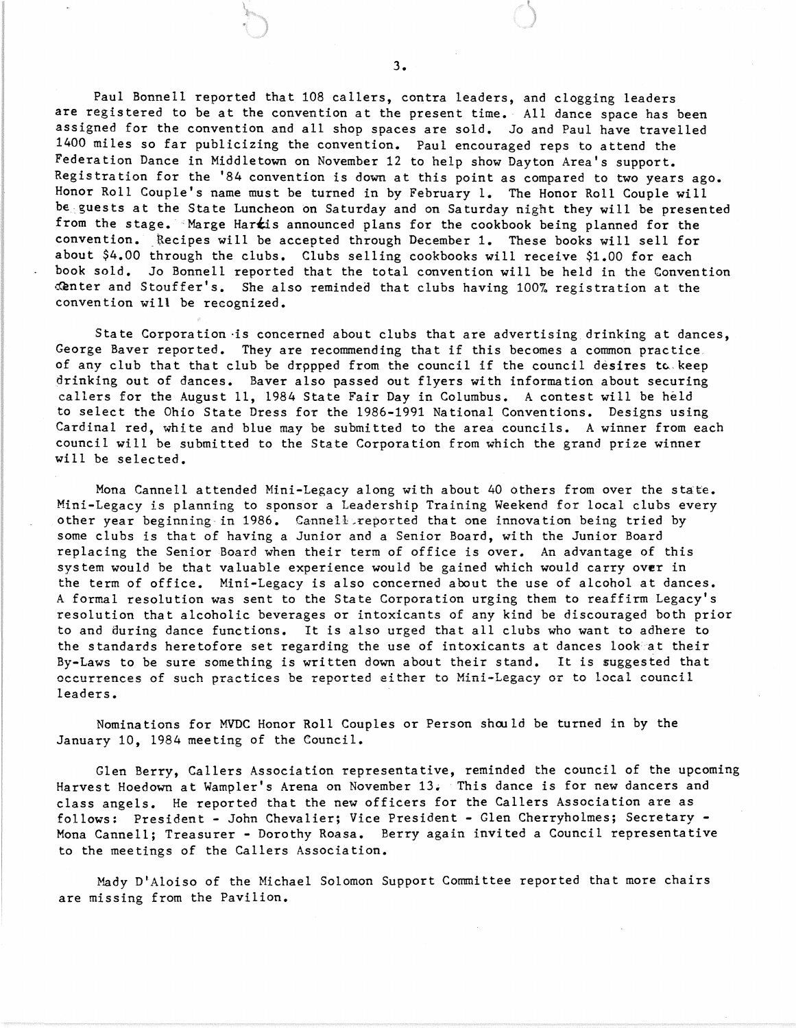Paul Bonnell reported that 108 callers, contra leaders, and clogging leaders are registered to be at the convention at the present time. All dance space has been assigned for the convention and all shop spaces are sold. Jo and Paul have travelled 1400 miles so far publicizing the convention. Paul encouraged reps to attend the Federation Dance in Middletown on November 12 to help show Dayton Area's support. Registration for the '84 convention is down at this point as compared to two years ago. Honor Roll Couple's name must be turned in by February 1. The Honor Roll Couple will be guests at the State Luncheon on Saturday and on Saturday night they will be presented from the stage. Marge Hartis announced plans for the cookbook being planned for the convention. Recipes will be accepted through December 1. These books will sell for about \$4.00 through the clubs. Clubs selling cookbooks will receive \$1.00 for each book sold. Jo Bonnell reported that the total convention will be held in the Convention ~nter and Stouffer's. She also reminded that clubs having 100% registration at the convention will be recognized.

State Corporation is concerned about clubs that are advertising drinking at dances, George Baver reported. They are recommending that if this becomes a common practice, of any club that that club be dropped from the council if the council desires to keep drinking out of dances. Baver also passed out flyers with information about securing callers for the August 11, 1984 State Fair Day in Columbus. A contest will be held to select the Ohio State Dress for the 1986-1991 National Conventions. Designs using Cardinal red, white and blue may be submitted to the area councils. A winner from each council will be submitted to the State Corporation from which the grand prize winner will be selected.

Mona Cannell attended Mini-Legacy along with about 40 others from over the state. Mini-Legacy is planning to sponsor a Leadership Training Weekend for local clubs every other year beginning in 1986. Cannell reported that one innovation being tried by some clubs is that of having a Junior and a Senior Board, with the Junior Board replacing the Senior Board when their term of office is over. An advantage of this system would be that valuable experience would be gained which would carryover in the term of office. Mini-Legacy is also concerned about the use of alcohol at dances. A formal resolution was sent to the State Corporation urging them to reaffirm Legacy's resolution that alcoholic beverages or intoxicants of any kind be discouraged both prior to and during dance functions. It is also urged that all clubs who want to adhere to the standards heretofore set regarding the use of intoxicants at dances look at their By-Laws to be sure something is written down about their stand. It is suggested that occurrences of such practices be reported either to Mini-Legacy or to local council leaders.

Nominations for MVDC Honor Roll Couples or Person should be turned in by the January 10, 1984 meeting of the Council.

Glen Berry, Callers Association representative, reminded the council of the upcoming Harvest Hoedown at Wampler's Arena on November 13. This dance is for new dancers and class angels. He reported that the new officers for the Callers Association are as follows: President - John Chevalier; Vice President - Glen Cherryholmes; Secretary - Mona Cannell; Treasurer - Dorothy Roasa. Berry again invited a Council representative to the meetings of the Callers Association.

Mady D'Aloiso of the Michael Solomon Support Committee reported that more chairs are missing from the Pavilion.